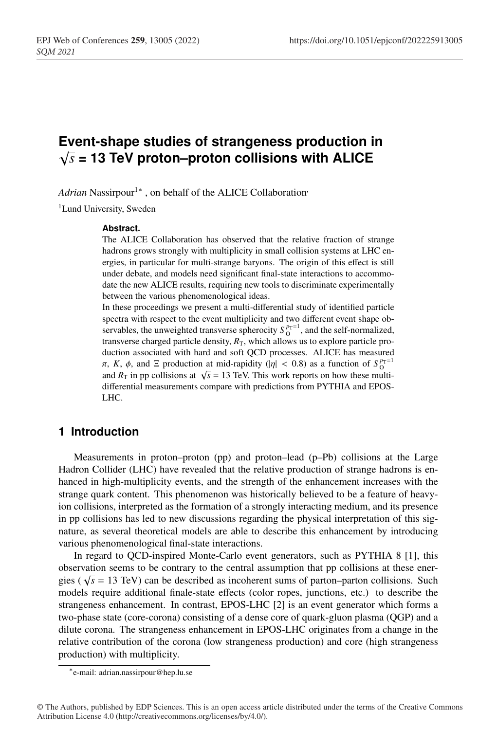# **Event-shape studies of strangeness production in** <sup>√</sup>*<sup>s</sup>* **= 13 TeV proton–proton collisions with ALICE**

*Adrian* Nassirpour<sup>1</sup><sup>∗</sup>, on behalf of the ALICE Collaboration<sup>,</sup>

<sup>1</sup>Lund University, Sweden

#### **Abstract.**

The ALICE Collaboration has observed that the relative fraction of strange hadrons grows strongly with multiplicity in small collision systems at LHC energies, in particular for multi-strange baryons. The origin of this effect is still under debate, and models need significant final-state interactions to accommodate the new ALICE results, requiring new tools to discriminate experimentally between the various phenomenological ideas.

In these proceedings we present a multi-differential study of identified particle spectra with respect to the event multiplicity and two different event shape observables, the unweighted transverse spherocity  $S_0^{p_T=1}$ , and the self-normalized, transverse charged particle density,  $R<sub>T</sub>$ , which allows us to explore particle production associated with hard and soft QCD processes. ALICE has measured π, *K*, φ, and Ξ production at mid-rapidity (|η| < 0.8) as a function of  $S_0^{p_T=1}$ and  $R<sub>T</sub>$  in pp collisions at  $\sqrt{s}$  = 13 TeV. This work reports on how these multidifferential measurements compare with predictions from PYTHIA and EPOS-LHC.

# **1 Introduction**

Measurements in proton–proton (pp) and proton–lead (p–Pb) collisions at the Large Hadron Collider (LHC) have revealed that the relative production of strange hadrons is enhanced in high-multiplicity events, and the strength of the enhancement increases with the strange quark content. This phenomenon was historically believed to be a feature of heavyion collisions, interpreted as the formation of a strongly interacting medium, and its presence in pp collisions has led to new discussions regarding the physical interpretation of this signature, as several theoretical models are able to describe this enhancement by introducing various phenomenological final-state interactions.

In regard to QCD-inspired Monte-Carlo event generators, such as PYTHIA 8 [1], this observation seems to be contrary to the central assumption that pp collisions at these energies ( $\sqrt{s}$  = 13 TeV) can be described as incoherent sums of parton–parton collisions. Such models require additional finale-state effects (color ropes, junctions, etc.) to describe the strangeness enhancement. In contrast, EPOS-LHC [2] is an event generator which forms a two-phase state (core-corona) consisting of a dense core of quark-gluon plasma (QGP) and a dilute corona. The strangeness enhancement in EPOS-LHC originates from a change in the relative contribution of the corona (low strangeness production) and core (high strangeness production) with multiplicity.

<sup>∗</sup>e-mail: adrian.nassirpour@hep.lu.se

<sup>©</sup> The Authors, published by EDP Sciences. This is an open access article distributed under the terms of the Creative Commons Attribution License 4.0 (http://creativecommons.org/licenses/by/4.0/).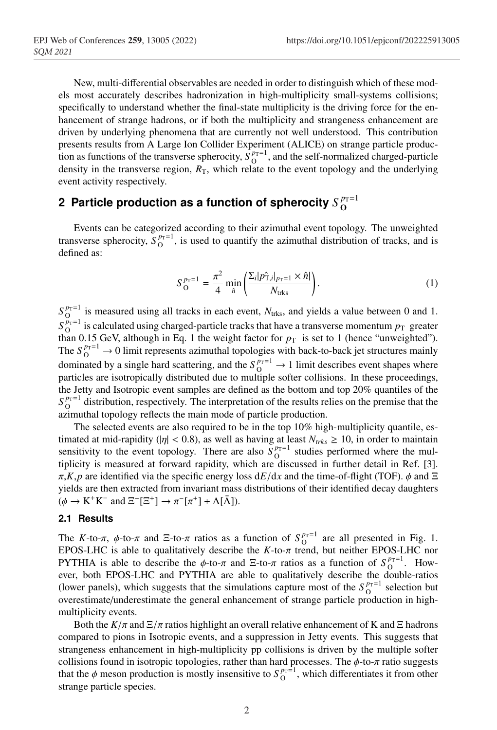New, multi-differential observables are needed in order to distinguish which of these models most accurately describes hadronization in high-multiplicity small-systems collisions; specifically to understand whether the final-state multiplicity is the driving force for the enhancement of strange hadrons, or if both the multiplicity and strangeness enhancement are driven by underlying phenomena that are currently not well understood. This contribution presents results from A Large Ion Collider Experiment (ALICE) on strange particle production as functions of the transverse spherocity,  $\hat{S}_{O}^{p_T=1}$ , and the self-normalized charged-particle density in the transverse region,  $R<sub>T</sub>$ , which relate to the event topology and the underlying event activity respectively.

# **2** Particle production as a function of spherocity  $S_{\bf O}^{\,p_{\rm T}=1}$

Events can be categorized according to their azimuthal event topology. The unweighted transverse spherocity,  $S_0^{p_T=1}$ , is used to quantify the azimuthal distribution of tracks, and is defined as:

$$
S_{\text{O}}^{p_{\text{T}}=1} = \frac{\pi^2}{4} \min_{\hat{n}} \left( \frac{\Sigma_i |p_{\text{T},i}|_{p_{\text{T}}=1} \times \hat{n}|}{N_{\text{trks}}} \right). \tag{1}
$$

 $S_{\text{O}}^{p_{\text{T}}=1}$  is measured using all tracks in each event,  $N_{\text{trks}}$ , and yields a value between 0 and 1.  $S_{\text{O}}^{p_T=1}$  is calculated using charged-particle tracks that have a transverse momentum  $p_T$  greater than 0.15 GeV, although in Eq. 1 the weight factor for  $p<sub>T</sub>$  is set to 1 (hence "unweighted"). The  $S_0^{p_T=1} \rightarrow 0$  limit represents azimuthal topologies with back-to-back jet structures mainly dominated by a single hard scattering, and the  $S_O^{p_T=1} \rightarrow 1$  limit describes event shapes where particles are isotropically distributed due to multiple softer collisions. In these proceedings, the Jetty and Isotropic event samples are defined as the bottom and top 20% quantiles of the  $S_{\text{O}}^{p_{\text{T}}=1}$  distribution, respectively. The interpretation of the results relies on the premise that the azimuthal topology reflects the main mode of particle production.

The selected events are also required to be in the top 10% high-multiplicity quantile, estimated at mid-rapidity ( $|\eta|$  < 0.8), as well as having at least  $N_{trks} \ge 10$ , in order to maintain sensitivity to the event topology. There are also  $S_0^{p_T=1}$  studies performed where the multiplicity is measured at forward rapidity, which are discussed in further detail in Ref. [3].  $\pi$ ,*K*,*p* are identified via the specific energy loss d*E*/d*x* and the time-of-flight (TOF).  $\phi$  and  $\Xi$ yields are then extracted from invariant mass distributions of their identified decay daughters  $(\phi \to K^+K^-$  and  $\Xi^-[\Xi^+] \to \pi^-[\pi^+] + \Lambda[\bar{\Lambda}])$ .

#### **2.1 Results**

The *K*-to- $\pi$ ,  $\phi$ -to- $\pi$  and  $\Xi$ -to- $\pi$  ratios as a function of  $S_{\text{O}}^{p_T=1}$  are all presented in Fig. 1. EPOS-LHC is able to qualitatively describe the  $K$ -to- $\pi$  trend, but neither EPOS-LHC nor PYTHIA is able to describe the  $\phi$ -to- $\pi$  and  $\Xi$ -to- $\pi$  ratios as a function of  $S_{\text{O}}^{p_T=1}$ . However, both EPOS-LHC and PYTHIA are able to qualitatively describe the double-ratios (lower panels), which suggests that the simulations capture most of the  $S_{\text{O}}^{p_T=1}$  selection but overestimate/underestimate the general enhancement of strange particle production in highmultiplicity events.

Both the  $K/\pi$  and  $\Xi/\pi$  ratios highlight an overall relative enhancement of K and  $\Xi$  hadrons compared to pions in Isotropic events, and a suppression in Jetty events. This suggests that strangeness enhancement in high-multiplicity pp collisions is driven by the multiple softer collisions found in isotropic topologies, rather than hard processes. The  $\phi$ -to- $\pi$  ratio suggests that the  $\phi$  meson production is mostly insensitive to  $S_{\text{O}}^{p_T=1}$ , which differentiates it from other strange particle species.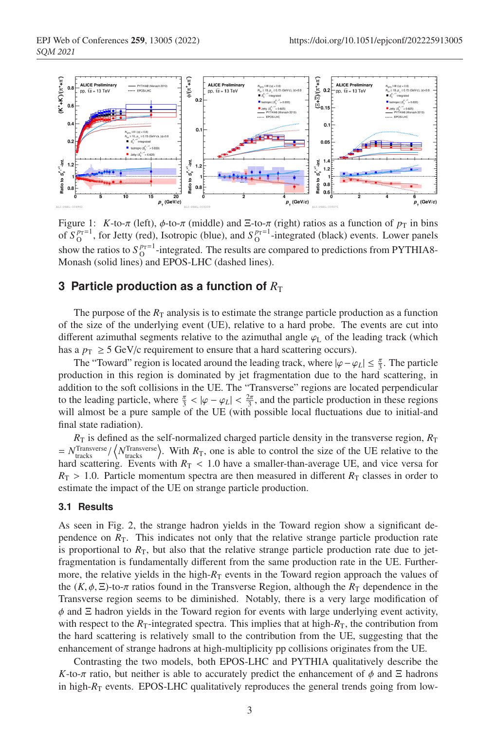

Figure 1: *K*-to- $\pi$  (left),  $\phi$ -to- $\pi$  (middle) and Ξ-to- $\pi$  (right) ratios as a function of  $p<sub>T</sub>$  in bins of  $S_O^{p_T=1}$ , for Jetty (red), Isotropic (blue), and  $S_O^{p_T=1}$ -integrated (black) events. Lower panels show the ratios to  $S_{\text{O}}^{p_T=1}$ -integrated. The results are compared to predictions from PYTHIA8-Monash (solid lines) and EPOS-LHC (dashed lines).

### **3 Particle production as a function of**  $R<sub>T</sub>$

The purpose of the  $R<sub>T</sub>$  analysis is to estimate the strange particle production as a function of the size of the underlying event (UE), relative to a hard probe. The events are cut into different azimuthal segments relative to the azimuthal angle  $\varphi$ <sub>L</sub> of the leading track (which has a  $p_T \geq 5$  GeV/c requirement to ensure that a hard scattering occurs).

The "Toward" region is located around the leading track, where  $|\varphi - \varphi_L| \leq \frac{\pi}{3}$ . The particle production in this region is dominated by jet fragmentation due to the hard scattering, in addition to the soft collisions in the UE. The "Transverse" regions are located perpendicular to the leading particle, where  $\frac{\pi}{3} < |\varphi - \varphi_L| < \frac{2\pi}{3}$ , and the particle production in these regions will almost be a pure sample of the UE (with possible local fluctuations due to initial-and final state radiation).

 $R<sub>T</sub>$  is defined as the self-normalized charged particle density in the transverse region,  $R<sub>T</sub>$  $N_{\text{tracks}}^{\text{Transverse}}/\langle N_{\text{tracks}}^{\text{Transverse}} \rangle$ . With  $R_{\text{T}}$ , one is able to control the size of the UE relative to the hard scattering. Events with  $R_T < 1.0$  have a smaller-than-average UE, and vice versa for  $R_{\rm T} > 1.0$ . Particle momentum spectra are then measured in different  $R_{\rm T}$  classes in order to estimate the impact of the UE on strange particle production.

#### **3.1 Results**

As seen in Fig. 2, the strange hadron yields in the Toward region show a significant dependence on  $R<sub>T</sub>$ . This indicates not only that the relative strange particle production rate is proportional to  $R<sub>T</sub>$ , but also that the relative strange particle production rate due to jetfragmentation is fundamentally different from the same production rate in the UE. Furthermore, the relative yields in the high- $R<sub>T</sub>$  events in the Toward region approach the values of the  $(K, \phi, \Xi)$ -to- $\pi$  ratios found in the Transverse Region, although the  $R<sub>T</sub>$  dependence in the Transverse region seems to be diminished. Notably, there is a very large modification of  $\phi$  and  $\Xi$  hadron yields in the Toward region for events with large underlying event activity, with respect to the  $R_T$ -integrated spectra. This implies that at high- $R_T$ , the contribution from the hard scattering is relatively small to the contribution from the UE, suggesting that the enhancement of strange hadrons at high-multiplicity pp collisions originates from the UE.

Contrasting the two models, both EPOS-LHC and PYTHIA qualitatively describe the *K*-to-π ratio, but neither is able to accurately predict the enhancement of  $\phi$  and Ξ hadrons in high- $R_T$  events. EPOS-LHC qualitatively reproduces the general trends going from low